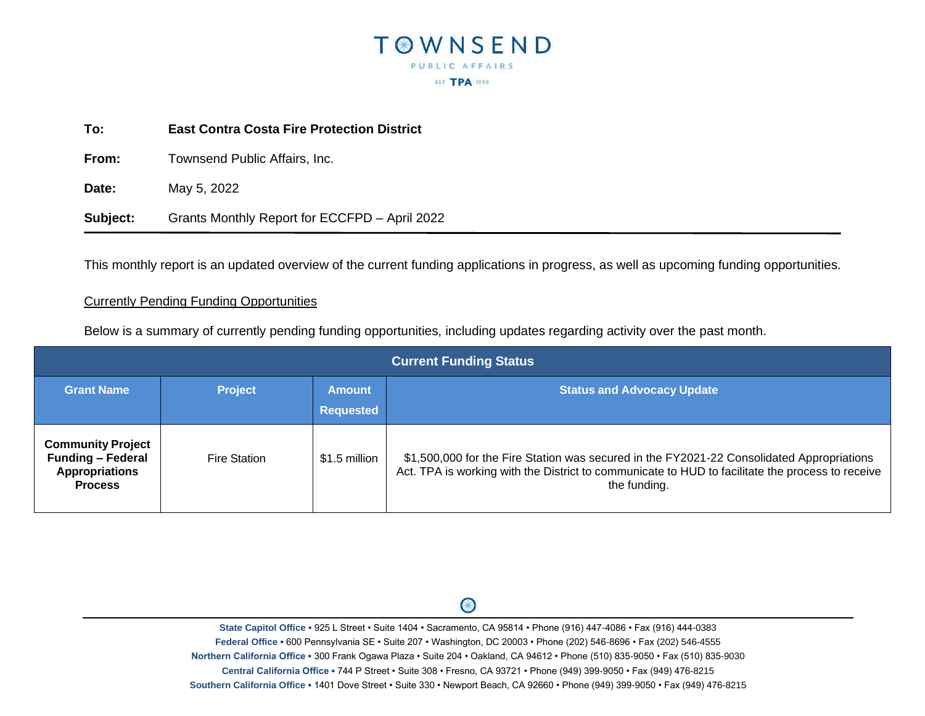

## **To: East Contra Costa Fire Protection District**

From: Townsend Public Affairs, Inc.

**Date:** May 5, 2022

**Subject:** Grants Monthly Report for ECCFPD – April 2022

This monthly report is an updated overview of the current funding applications in progress, as well as upcoming funding opportunities.

## Currently Pending Funding Opportunities

Below is a summary of currently pending funding opportunities, including updates regarding activity over the past month.

| <b>Current Funding Status</b>                                                                   |                |                                   |                                                                                                                                                                                                               |  |
|-------------------------------------------------------------------------------------------------|----------------|-----------------------------------|---------------------------------------------------------------------------------------------------------------------------------------------------------------------------------------------------------------|--|
| <b>Grant Name</b>                                                                               | <b>Project</b> | <b>Amount</b><br><b>Requested</b> | <b>Status and Advocacy Update</b>                                                                                                                                                                             |  |
| <b>Community Project</b><br><b>Funding - Federal</b><br><b>Appropriations</b><br><b>Process</b> | Fire Station   | \$1.5 million                     | \$1,500,000 for the Fire Station was secured in the FY2021-22 Consolidated Appropriations<br>Act. TPA is working with the District to communicate to HUD to facilitate the process to receive<br>the funding. |  |

⊕

**State Capitol Office ▪** 925 L Street • Suite 1404 • Sacramento, CA 95814 • Phone (916) 447-4086 • Fax (916) 444-0383 **Federal Office ▪** 600 Pennsylvania SE • Suite 207 • Washington, DC 20003 • Phone (202) 546-8696 • Fax (202) 546-4555 **Northern California Office ▪** 300 Frank Ogawa Plaza • Suite 204 • Oakland, CA 94612 • Phone (510) 835-9050 • Fax (510) 835-9030 **Central California Office ▪** 744 P Street • Suite 308 • Fresno, CA 93721 • Phone (949) 399-9050 • Fax (949) 476-8215 **Southern California Office ▪** 1401 Dove Street • Suite 330 • Newport Beach, CA 92660 • Phone (949) 399-9050 • Fax (949) 476-8215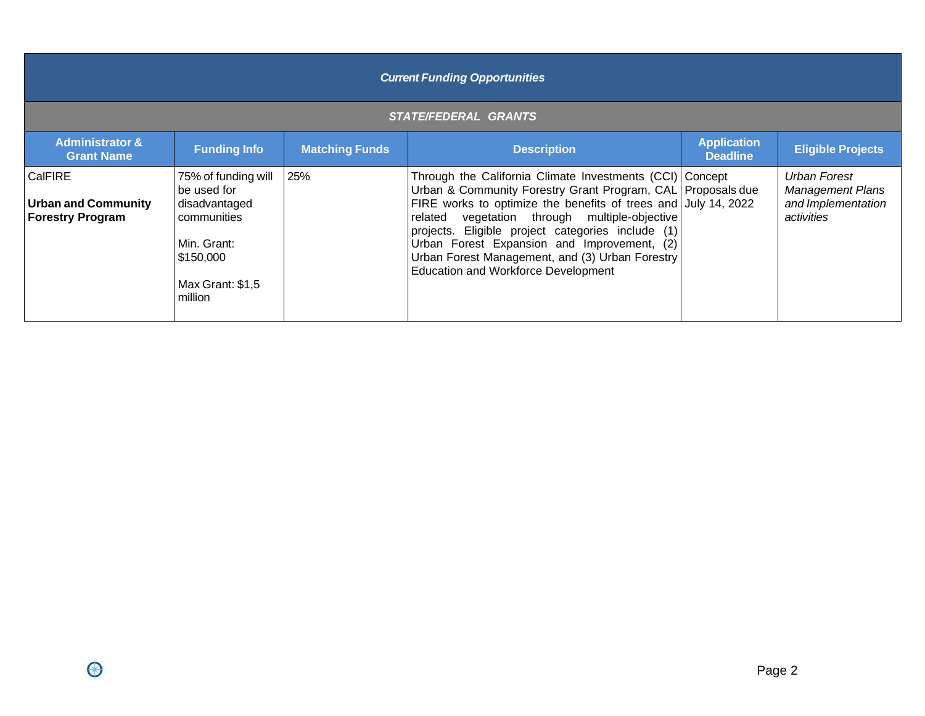| <b>Current Funding Opportunities</b>                             |                                                                                                                               |                       |                                                                                                                                                                                                                                                                                                                                                                                                                                                 |                                       |                                                                             |  |
|------------------------------------------------------------------|-------------------------------------------------------------------------------------------------------------------------------|-----------------------|-------------------------------------------------------------------------------------------------------------------------------------------------------------------------------------------------------------------------------------------------------------------------------------------------------------------------------------------------------------------------------------------------------------------------------------------------|---------------------------------------|-----------------------------------------------------------------------------|--|
| <b>STATE/FEDERAL GRANTS</b>                                      |                                                                                                                               |                       |                                                                                                                                                                                                                                                                                                                                                                                                                                                 |                                       |                                                                             |  |
| <b>Administrator &amp;</b><br><b>Grant Name</b>                  | <b>Funding Info</b>                                                                                                           | <b>Matching Funds</b> | <b>Description</b>                                                                                                                                                                                                                                                                                                                                                                                                                              | <b>Application</b><br><b>Deadline</b> | <b>Eligible Projects</b>                                                    |  |
| CalFIRE<br><b>Urban and Community</b><br><b>Forestry Program</b> | 75% of funding will<br>be used for<br>disadvantaged<br>communities<br>Min. Grant:<br>\$150,000<br>Max Grant: \$1,5<br>million | 25%                   | Through the California Climate Investments (CCI) Concept<br>Urban & Community Forestry Grant Program, CAL Proposals due<br>FIRE works to optimize the benefits of trees and July 14, 2022<br>related vegetation through multiple-objective<br>projects. Eligible project categories include (1)<br>Urban Forest Expansion and Improvement, (2)<br>Urban Forest Management, and (3) Urban Forestry<br><b>Education and Workforce Development</b> |                                       | Urban Forest<br><b>Management Plans</b><br>and Implementation<br>activities |  |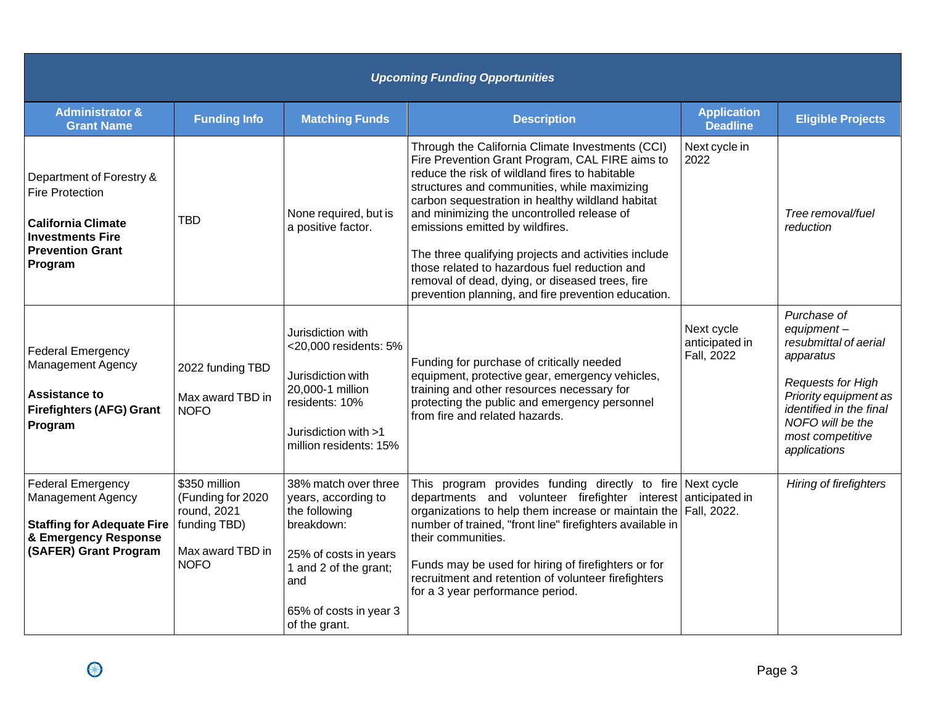| <b>Upcoming Funding Opportunities</b>                                                                                                            |                                                                                                      |                                                                                                                                                                                |                                                                                                                                                                                                                                                                                                                                                                                                                                                                                                                                                               |                                            |                                                                                                                                                                                                    |  |
|--------------------------------------------------------------------------------------------------------------------------------------------------|------------------------------------------------------------------------------------------------------|--------------------------------------------------------------------------------------------------------------------------------------------------------------------------------|---------------------------------------------------------------------------------------------------------------------------------------------------------------------------------------------------------------------------------------------------------------------------------------------------------------------------------------------------------------------------------------------------------------------------------------------------------------------------------------------------------------------------------------------------------------|--------------------------------------------|----------------------------------------------------------------------------------------------------------------------------------------------------------------------------------------------------|--|
| <b>Administrator &amp;</b><br><b>Grant Name</b>                                                                                                  | <b>Funding Info</b>                                                                                  | <b>Matching Funds</b>                                                                                                                                                          | <b>Description</b>                                                                                                                                                                                                                                                                                                                                                                                                                                                                                                                                            | <b>Application</b><br><b>Deadline</b>      | <b>Eligible Projects</b>                                                                                                                                                                           |  |
| Department of Forestry &<br><b>Fire Protection</b><br><b>California Climate</b><br><b>Investments Fire</b><br><b>Prevention Grant</b><br>Program | <b>TBD</b>                                                                                           | None required, but is<br>a positive factor.                                                                                                                                    | Through the California Climate Investments (CCI)<br>Fire Prevention Grant Program, CAL FIRE aims to<br>reduce the risk of wildland fires to habitable<br>structures and communities, while maximizing<br>carbon sequestration in healthy wildland habitat<br>and minimizing the uncontrolled release of<br>emissions emitted by wildfires.<br>The three qualifying projects and activities include<br>those related to hazardous fuel reduction and<br>removal of dead, dying, or diseased trees, fire<br>prevention planning, and fire prevention education. | Next cycle in<br>2022                      | Tree removal/fuel<br>reduction                                                                                                                                                                     |  |
| <b>Federal Emergency</b><br><b>Management Agency</b><br>Assistance to<br><b>Firefighters (AFG) Grant</b><br>Program                              | 2022 funding TBD<br>Max award TBD in<br><b>NOFO</b>                                                  | Jurisdiction with<br><20,000 residents: 5%<br>Jurisdiction with<br>20,000-1 million<br>residents: 10%<br>Jurisdiction with >1<br>million residents: 15%                        | Funding for purchase of critically needed<br>equipment, protective gear, emergency vehicles,<br>training and other resources necessary for<br>protecting the public and emergency personnel<br>from fire and related hazards.                                                                                                                                                                                                                                                                                                                                 | Next cycle<br>anticipated in<br>Fall, 2022 | Purchase of<br>$equipment-$<br>resubmittal of aerial<br>apparatus<br>Requests for High<br>Priority equipment as<br>identified in the final<br>NOFO will be the<br>most competitive<br>applications |  |
| <b>Federal Emergency</b><br><b>Management Agency</b><br><b>Staffing for Adequate Fire</b><br>& Emergency Response<br>(SAFER) Grant Program       | \$350 million<br>(Funding for 2020<br>round, 2021<br>funding TBD)<br>Max award TBD in<br><b>NOFO</b> | 38% match over three<br>years, according to<br>the following<br>breakdown:<br>25% of costs in years<br>1 and 2 of the grant;<br>and<br>65% of costs in year 3<br>of the grant. | This program provides funding directly to fire Next cycle<br>departments and volunteer firefighter interest<br>organizations to help them increase or maintain the Fall, 2022.<br>number of trained, "front line" firefighters available in<br>their communities.<br>Funds may be used for hiring of firefighters or for<br>recruitment and retention of volunteer firefighters<br>for a 3 year performance period.                                                                                                                                           | anticipated in                             | Hiring of firefighters                                                                                                                                                                             |  |